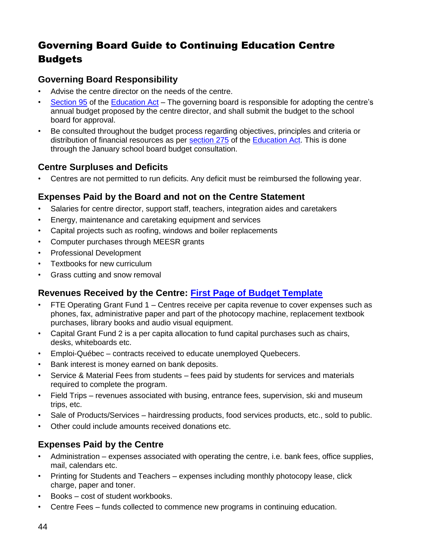# Governing Board Guide to Continuing Education Centre Budgets

#### **Governing Board Responsibility**

- Advise the centre director on the needs of the centre.
- [Section](http://www2.publicationsduquebec.gouv.qc.ca/dynamicSearch/telecharge.php?type=2&file=/I_13_3/I13_3_A.html#s95) 95 of the [Education Act](http://www2.publicationsduquebec.gouv.qc.ca/dynamicSearch/telecharge.php?type=2&file=/I_13_3/I13_3_A.html) The governing board is responsible for adopting the centre's annual budget proposed by the centre director, and shall submit the budget to the school board for approval.
- Be consulted throughout the budget process regarding objectives, principles and criteria or distribution of financial resources as per [section 275](http://www2.publicationsduquebec.gouv.qc.ca/dynamicSearch/telecharge.php?type=2&file=/I_13_3/I13_3_A.html#s275) of the [Education Act.](http://www2.publicationsduquebec.gouv.qc.ca/dynamicSearch/telecharge.php?type=2&file=/I_13_3/I13_3_A.html) This is done through the January school board budget consultation.

## **Centre Surpluses and Deficits**

• Centres are not permitted to run deficits. Any deficit must be reimbursed the following year.

#### **Expenses Paid by the Board and not on the Centre Statement**

- Salaries for centre director, support staff, teachers, integration aides and caretakers
- Energy, maintenance and caretaking equipment and services
- Capital projects such as roofing, windows and boiler replacements
- Computer purchases through MEESR grants
- Professional Development
- Textbooks for new curriculum
- Grass cutting and snow removal

## **Revenues Received by the Centre: First Page [of Budget Template](#page-2-0)**

- FTE Operating Grant Fund 1 Centres receive per capita revenue to cover expenses such as phones, fax, administrative paper and part of the photocopy machine, replacement textbook purchases, library books and audio visual equipment.
- Capital Grant Fund 2 is a per capita allocation to fund capital purchases such as chairs, desks, whiteboards etc.
- Emploi-Québec contracts received to educate unemployed Quebecers.
- Bank interest is money earned on bank deposits.
- Service & Material Fees from students fees paid by students for services and materials required to complete the program.
- Field Trips revenues associated with busing, entrance fees, supervision, ski and museum trips, etc.
- Sale of Products/Services hairdressing products, food services products, etc., sold to public.
- Other could include amounts received donations etc.

## **Expenses Paid by the Centre**

- Administration expenses associated with operating the centre, i.e. bank fees, office supplies, mail, calendars etc.
- Printing for Students and Teachers expenses including monthly photocopy lease, click charge, paper and toner.
- Books cost of student workbooks.
- Centre Fees funds collected to commence new programs in continuing education.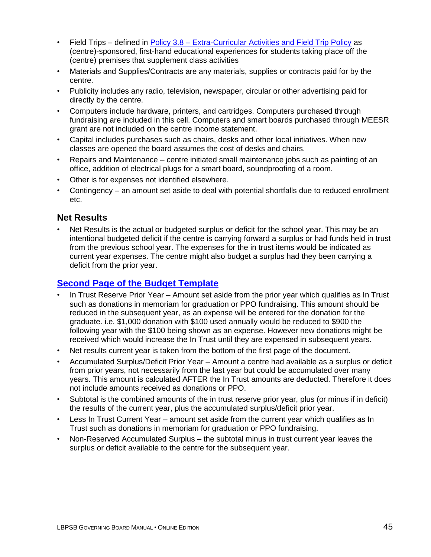- Field Trips defined in Policy 3.8 [Extra-Curricular Activities and Field Trip Policy](http://www.lbpsb.qc.ca/content/policies/Extra_Curricular_and_FieldTrip_Policy_Eng_Jun29_09.pdf) as (centre)-sponsored, first-hand educational experiences for students taking place off the (centre) premises that supplement class activities
- Materials and Supplies/Contracts are any materials, supplies or contracts paid for by the centre.
- Publicity includes any radio, television, newspaper, circular or other advertising paid for directly by the centre.
- Computers include hardware, printers, and cartridges. Computers purchased through fundraising are included in this cell. Computers and smart boards purchased through MEESR grant are not included on the centre income statement.
- Capital includes purchases such as chairs, desks and other local initiatives. When new classes are opened the board assumes the cost of desks and chairs.
- Repairs and Maintenance centre initiated small maintenance jobs such as painting of an office, addition of electrical plugs for a smart board, soundproofing of a room.
- Other is for expenses not identified elsewhere.
- Contingency an amount set aside to deal with potential shortfalls due to reduced enrollment etc.

#### **Net Results**

Net Results is the actual or budgeted surplus or deficit for the school year. This may be an intentional budgeted deficit if the centre is carrying forward a surplus or had funds held in trust from the previous school year. The expenses for the in trust items would be indicated as current year expenses. The centre might also budget a surplus had they been carrying a deficit from the prior year.

## **[Second Page of the Budget Template](#page-3-0)**

- In Trust Reserve Prior Year Amount set aside from the prior year which qualifies as In Trust such as donations in memoriam for graduation or PPO fundraising. This amount should be reduced in the subsequent year, as an expense will be entered for the donation for the graduate. i.e. \$1,000 donation with \$100 used annually would be reduced to \$900 the following year with the \$100 being shown as an expense. However new donations might be received which would increase the In Trust until they are expensed in subsequent years.
- Net results current year is taken from the bottom of the first page of the document.
- Accumulated Surplus/Deficit Prior Year Amount a centre had available as a surplus or deficit from prior years, not necessarily from the last year but could be accumulated over many years. This amount is calculated AFTER the In Trust amounts are deducted. Therefore it does not include amounts received as donations or PPO.
- Subtotal is the combined amounts of the in trust reserve prior year, plus (or minus if in deficit) the results of the current year, plus the accumulated surplus/deficit prior year.
- Less In Trust Current Year amount set aside from the current year which qualifies as In Trust such as donations in memoriam for graduation or PPO fundraising.
- Non-Reserved Accumulated Surplus the subtotal minus in trust current year leaves the surplus or deficit available to the centre for the subsequent year.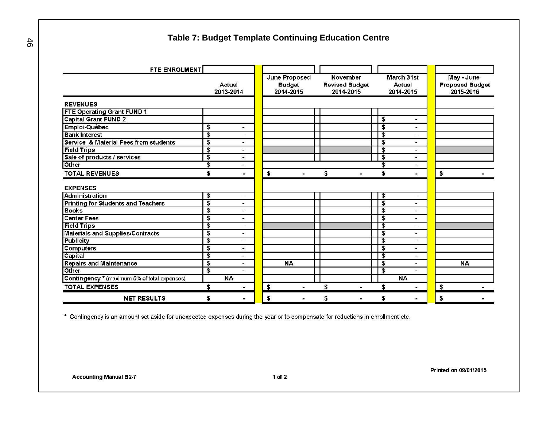#### **Table 7: Budget Template Continuing Education Centre**

<span id="page-2-0"></span>

| <b>FTE ENROLMENT</b>                         |                         |                          |           |                                             |    |                                                |                         |                                   |    |                                                   |
|----------------------------------------------|-------------------------|--------------------------|-----------|---------------------------------------------|----|------------------------------------------------|-------------------------|-----------------------------------|----|---------------------------------------------------|
|                                              | Actual<br>2013-2014     |                          |           | June Proposed<br><b>Budget</b><br>2014-2015 |    | November<br><b>Revised Budget</b><br>2014-2015 |                         | March 31st<br>Actual<br>2014-2015 |    | May - June<br><b>Proposed Budget</b><br>2015-2016 |
| <b>REVENUES</b>                              |                         |                          |           |                                             |    |                                                |                         |                                   |    |                                                   |
| FTE Operating Grant FUND 1                   |                         |                          |           |                                             |    |                                                |                         |                                   |    |                                                   |
| <b>Capital Grant FUND 2</b>                  |                         |                          |           |                                             |    |                                                | \$                      | 오시                                |    |                                                   |
| Emploi-Québec                                | \$                      | ÷                        |           |                                             |    |                                                | \$                      | ٠                                 |    |                                                   |
| <b>Bank Interest</b>                         | \$                      | ÷                        |           |                                             |    |                                                | \$                      | ÷.                                |    |                                                   |
| Service & Material Fees from students        | $\overline{\mathsf{s}}$ | $\sim$                   |           |                                             |    |                                                | \$                      | $\sim$                            |    |                                                   |
| <b>Field Trips</b>                           | \$                      | υ                        |           |                                             |    |                                                | \$                      | Д                                 |    |                                                   |
| Sale of products / services                  | \$                      | $\overline{\phantom{a}}$ |           |                                             |    |                                                | \$                      | $\blacksquare$                    |    |                                                   |
| Other                                        | \$                      | ۰                        |           |                                             |    |                                                | \$                      | ۰                                 |    |                                                   |
| <b>TOTAL REVENUES</b>                        | \$                      | $\blacksquare$           | \$        | 誉                                           | \$ |                                                | \$                      |                                   | \$ |                                                   |
| <b>EXPENSES</b>                              |                         |                          |           |                                             |    |                                                |                         |                                   |    |                                                   |
| <b>Administration</b>                        | \$                      | ×,                       |           |                                             |    |                                                | \$                      | $\blacksquare$                    |    |                                                   |
| <b>Printing for Students and Teachers</b>    | \$                      | $\overline{\phantom{a}}$ |           |                                             |    |                                                | \$                      | ۰                                 |    |                                                   |
| <b>Books</b>                                 | $\frac{1}{2}$           | $\overline{\phantom{a}}$ |           |                                             |    |                                                | \$                      | ۰                                 |    |                                                   |
| <b>Center Fees</b>                           | \$                      | -                        |           |                                             |    |                                                | \$                      | $\blacksquare$                    |    |                                                   |
| <b>Field Trips</b>                           | \$                      | $\blacksquare$           |           |                                             |    |                                                | \$                      | ÷.                                |    |                                                   |
| <b>Materials and Supplies/Contracts</b>      | \$                      | $\blacksquare$           |           |                                             |    |                                                | \$                      | $\blacksquare$                    |    |                                                   |
| <b>Publicity</b>                             | \$                      | $\overline{\phantom{a}}$ |           |                                             |    |                                                | \$                      | $-$                               |    |                                                   |
| <b>Computers</b>                             | \$                      | $\overline{\phantom{a}}$ |           |                                             |    |                                                | \$                      | ٠                                 |    |                                                   |
| Capital                                      | \$                      | $\blacksquare$           |           |                                             |    |                                                | \$                      | $\blacksquare$                    |    |                                                   |
| <b>Repairs and Maintenance</b>               | $\frac{1}{2}$           | -                        | <b>NA</b> |                                             |    |                                                | $\overline{\mathbf{e}}$ | $\blacksquare$                    |    | <b>NA</b>                                         |
| Other                                        | \$                      |                          |           |                                             |    |                                                | \$                      |                                   |    |                                                   |
| Contingency * (maximum 5% of total expenses) |                         | <b>NA</b>                |           |                                             |    |                                                |                         | <b>NA</b>                         |    |                                                   |
| <b>TOTAL EXPENSES</b>                        | \$                      | $\blacksquare$           | \$        |                                             | S  |                                                | \$                      |                                   | \$ |                                                   |
| <b>NET RESULTS</b>                           | \$                      | ۰                        | \$        |                                             | S  |                                                |                         | н                                 | \$ |                                                   |

\* Contingency is an amount set aside for unexpected expenses during the year or to compensate for reductions in enrollment etc.

Printed on 08/01/2015